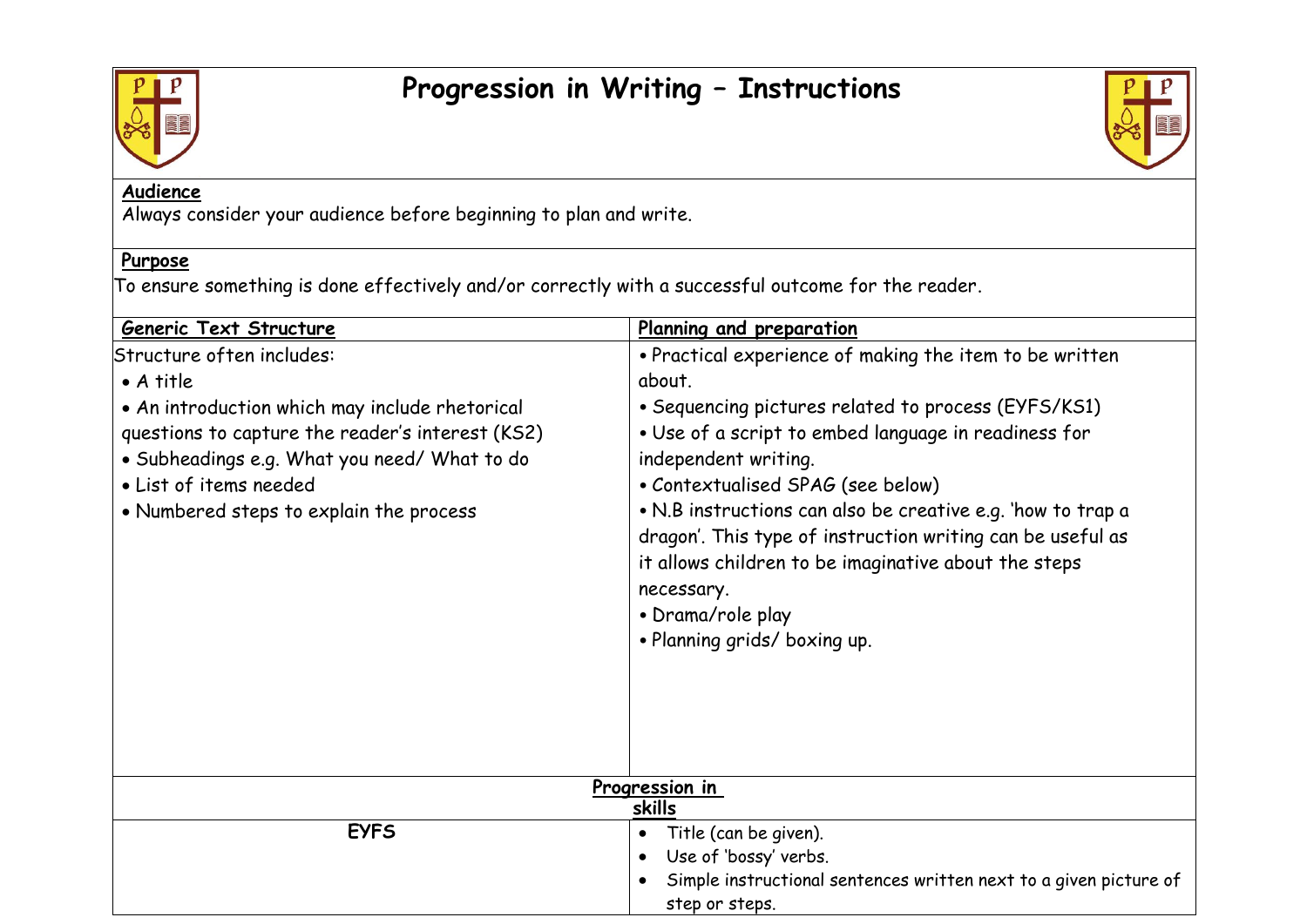

## **Progression in Writing – Instructions**



## **Audience**

Always consider your audience before beginning to plan and write.

## **Purpose**

To ensure something is done effectively and/or correctly with a successful outcome for the reader.

| Planning and preparation                                                                                                                                                                                                                             |
|------------------------------------------------------------------------------------------------------------------------------------------------------------------------------------------------------------------------------------------------------|
| • Practical experience of making the item to be written                                                                                                                                                                                              |
| about.                                                                                                                                                                                                                                               |
| • Sequencing pictures related to process (EYFS/KS1)                                                                                                                                                                                                  |
| • Use of a script to embed language in readiness for                                                                                                                                                                                                 |
| independent writing.                                                                                                                                                                                                                                 |
| • Contextualised SPAG (see below)                                                                                                                                                                                                                    |
| • N.B instructions can also be creative e.g. 'how to trap a<br>dragon'. This type of instruction writing can be useful as<br>it allows children to be imaginative about the steps<br>necessary.<br>• Drama/role play<br>. Planning grids/ boxing up. |
| Progression in                                                                                                                                                                                                                                       |
| skills                                                                                                                                                                                                                                               |
| Title (can be given).<br>$\bullet$<br>Use of 'bossy' verbs.<br>$\bullet$                                                                                                                                                                             |
| Simple instructional sentences written next to a given picture of                                                                                                                                                                                    |
| step or steps.                                                                                                                                                                                                                                       |
|                                                                                                                                                                                                                                                      |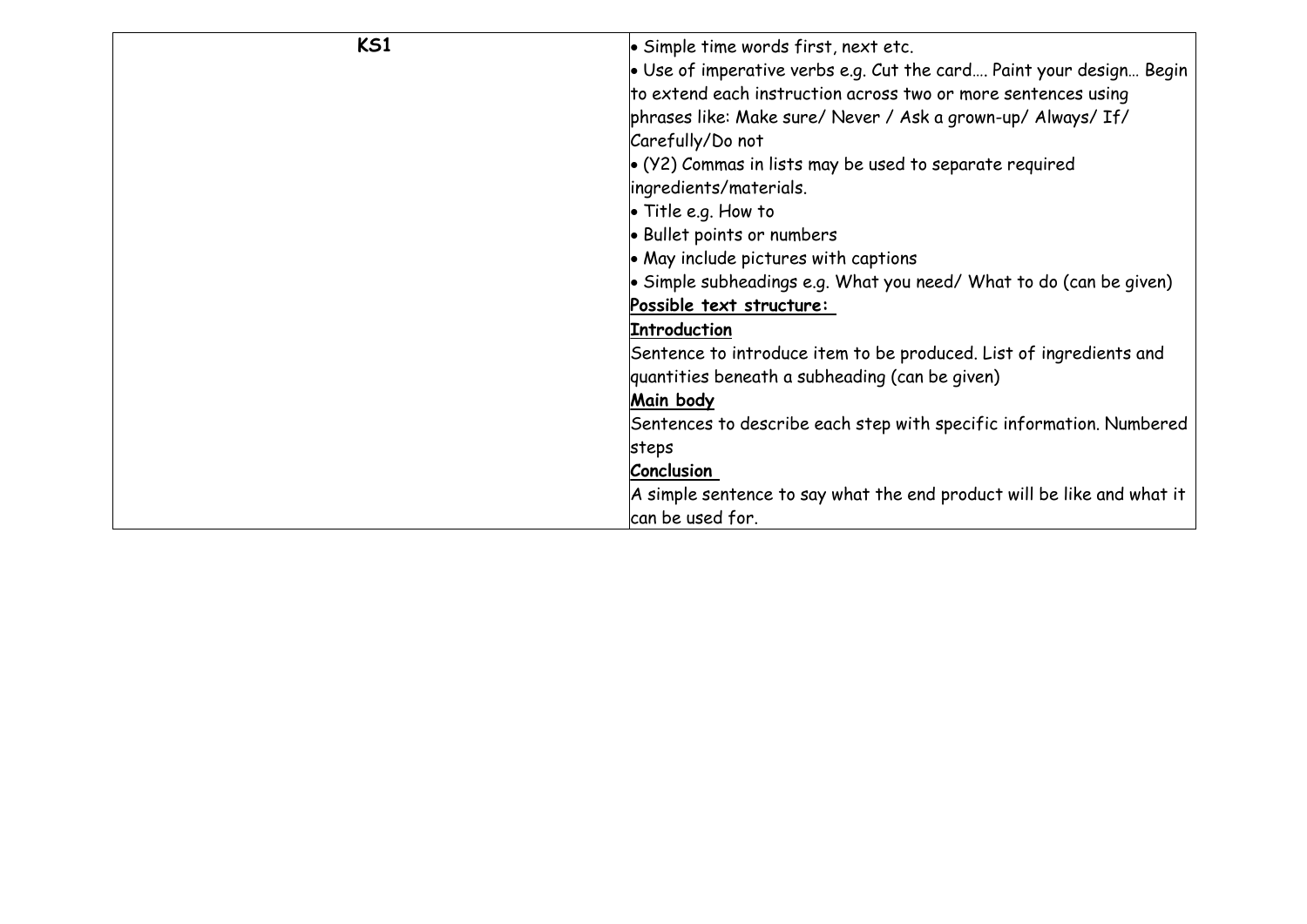| <b>KS1</b> | • Simple time words first, next etc.                                        |
|------------|-----------------------------------------------------------------------------|
|            | $\bullet$ Use of imperative verbs e.g. Cut the card Paint your design Begin |
|            | to extend each instruction across two or more sentences using               |
|            | phrases like: Make sure/ Never / Ask a grown-up/ Always/ If/                |
|            | Carefully/Do not                                                            |
|            | $\bullet$ (Y2) Commas in lists may be used to separate required             |
|            | ingredients/materials.                                                      |
|            | $\bullet$ Title e.g. How to                                                 |
|            | • Bullet points or numbers                                                  |
|            | • May include pictures with captions                                        |
|            | $\bullet$ Simple subheadings e.g. What you need/What to do (can be given)   |
|            | Possible text structure:                                                    |
|            | <b>Introduction</b>                                                         |
|            | Sentence to introduce item to be produced. List of ingredients and          |
|            | quantities beneath a subheading (can be given)                              |
|            | Main body                                                                   |
|            | Sentences to describe each step with specific information. Numbered         |
|            | steps                                                                       |
|            | <b>Conclusion</b>                                                           |
|            | A simple sentence to say what the end product will be like and what it      |
|            | can be used for.                                                            |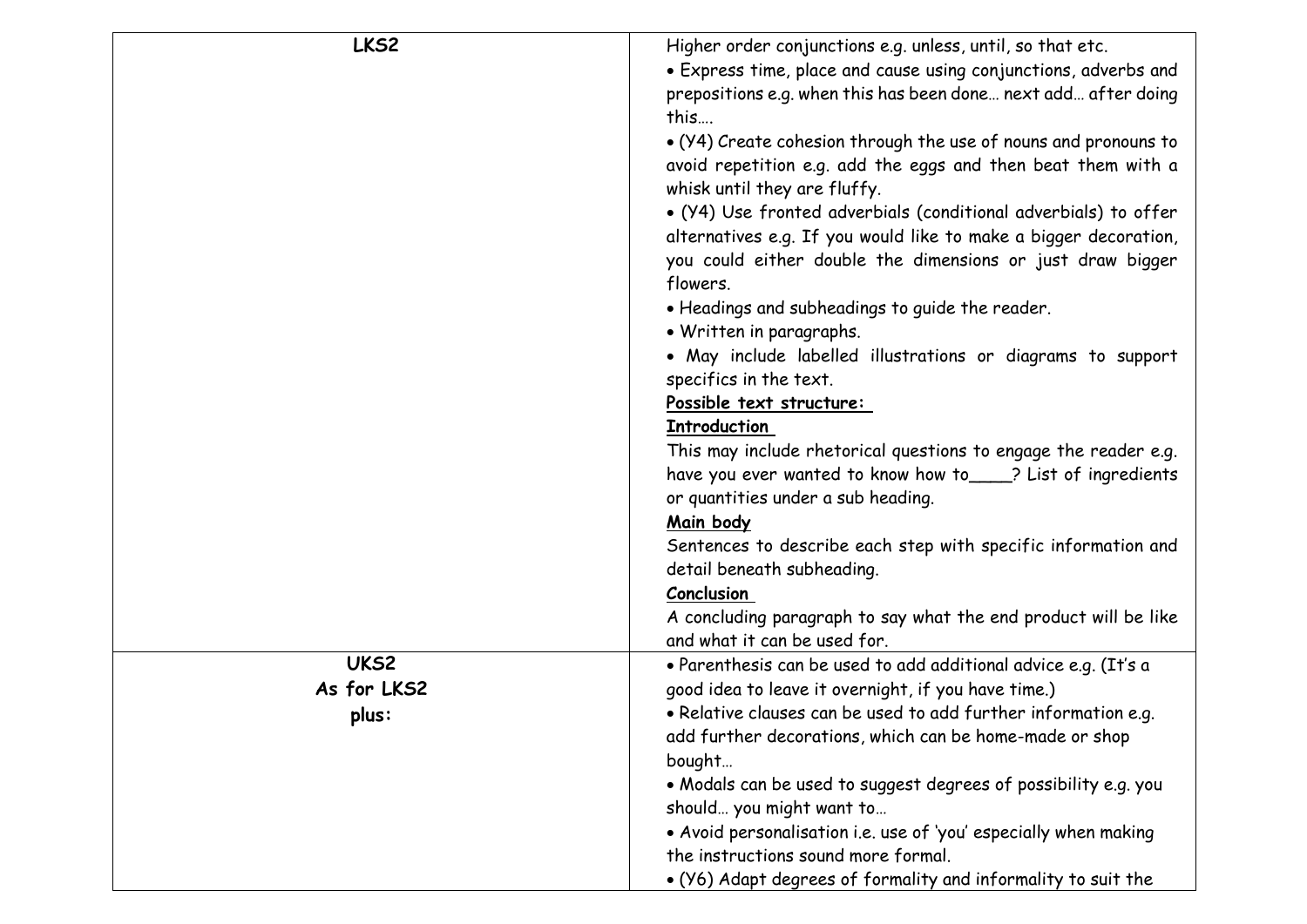| LKS2        | Higher order conjunctions e.g. unless, until, so that etc.       |
|-------------|------------------------------------------------------------------|
|             | • Express time, place and cause using conjunctions, adverbs and  |
|             | prepositions e.g. when this has been done next add after doing   |
|             | this                                                             |
|             | • (Y4) Create cohesion through the use of nouns and pronouns to  |
|             | avoid repetition e.g. add the eggs and then beat them with a     |
|             | whisk until they are fluffy.                                     |
|             | • (Y4) Use fronted adverbials (conditional adverbials) to offer  |
|             | alternatives e.g. If you would like to make a bigger decoration, |
|             | you could either double the dimensions or just draw bigger       |
|             | flowers.                                                         |
|             | • Headings and subheadings to guide the reader.                  |
|             | • Written in paragraphs.                                         |
|             | · May include labelled illustrations or diagrams to support      |
|             | specifics in the text.                                           |
|             | Possible text structure:                                         |
|             | <b>Introduction</b>                                              |
|             | This may include rhetorical questions to engage the reader e.g.  |
|             | have you ever wanted to know how to ____? List of ingredients    |
|             | or quantities under a sub heading.                               |
|             | Main body                                                        |
|             | Sentences to describe each step with specific information and    |
|             | detail beneath subheading.                                       |
|             | Conclusion                                                       |
|             | A concluding paragraph to say what the end product will be like  |
|             | and what it can be used for.                                     |
| UKS2        | · Parenthesis can be used to add additional advice e.g. (It's a  |
| As for LKS2 | good idea to leave it overnight, if you have time.)              |
| plus:       | • Relative clauses can be used to add further information e.g.   |
|             | add further decorations, which can be home-made or shop          |
|             | bought                                                           |
|             | • Modals can be used to suggest degrees of possibility e.g. you  |
|             | should you might want to                                         |
|             | • Avoid personalisation i.e. use of 'you' especially when making |
|             |                                                                  |
|             | the instructions sound more formal.                              |